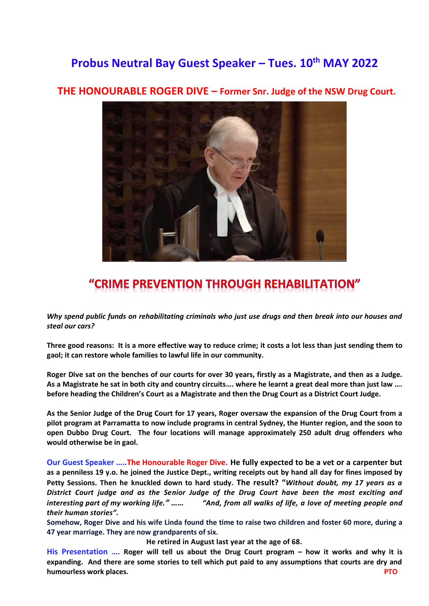## **Probus Neutral Bay Guest Speaker – Tues. 10th MAY 2022**



## **THE HONOURABLE ROGER DIVE – Former Snr. Judge of the NSW Drug Court.**

## "CRIME PREVENTION THROUGH REHABILITATION"

*Why spend public funds on rehabilitating criminals who just use drugs and then break into our houses and steal our cars?*

**Three good reasons: It is a more effective way to reduce crime; it costs a lot less than just sending them to gaol; it can restore whole families to lawful life in our community.**

**Roger Dive sat on the benches of our courts for over 30 years, firstly as a Magistrate, and then as a Judge. As a Magistrate he sat in both city and country circuits…. where he learnt a great deal more than just law …. before heading the Children's Court as a Magistrate and then the Drug Court as a District Court Judge.**

**As the Senior Judge of the Drug Court for 17 years, Roger oversaw the expansion of the Drug Court from a pilot program at Parramatta to now include programs in central Sydney, the Hunter region, and the soon to open Dubbo Drug Court. The four locations will manage approximately 250 adult drug offenders who would otherwise be in gaol.**

**Our Guest Speaker …..The Honourable Roger Dive. He fully expected to be a vet or a carpenter but as a penniless 19 y.o. he joined the Justice Dept., writing receipts out by hand all day for fines imposed by Petty Sessions. Then he knuckled down to hard study. The result? "***Without doubt, my 17 years as a District Court judge and as the Senior Judge of the Drug Court have been the most exciting and interesting part of my working life." …… "And, from all walks of life, a love of meeting people and their human stories".*

**Somehow, Roger Dive and his wife Linda found the time to raise two children and foster 60 more, during a 47 year marriage. They are now grandparents of six.**

**He retired in August last year at the age of 68.**

**His Presentation …. Roger will tell us about the Drug Court program – how it works and why it is expanding. And there are some stories to tell which put paid to any assumptions that courts are dry and humourless work places. PTO**